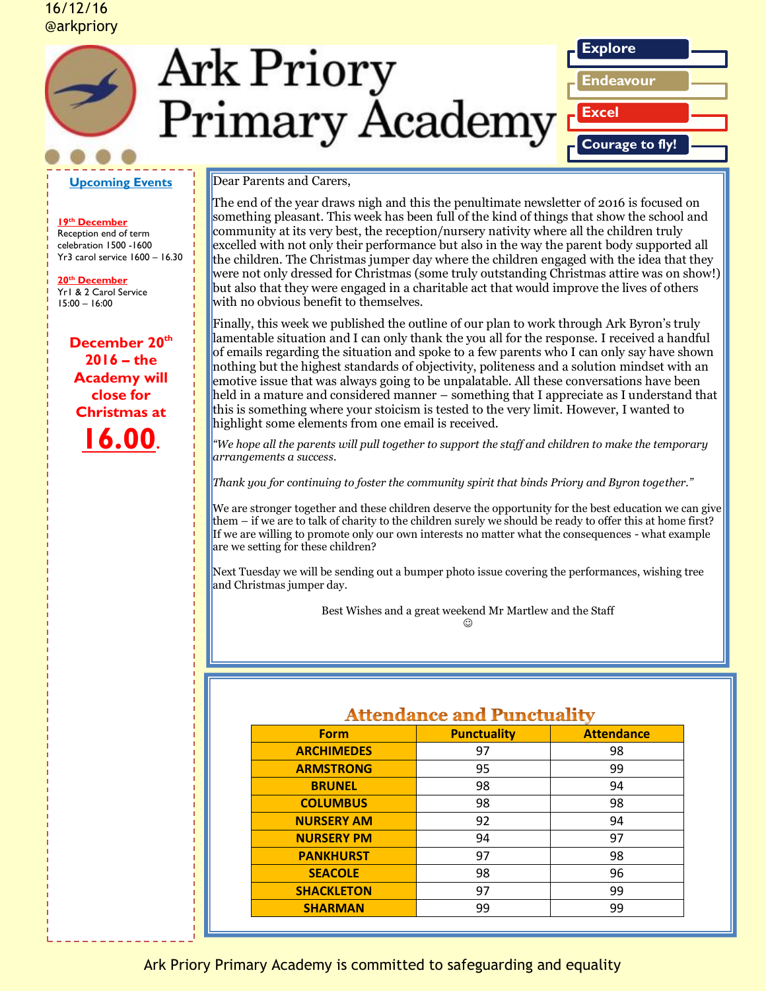## 16/12/16 @arkpriory







**19th December**  Reception end of term celebration 1500 -1600 Yr3 carol service 1600 – 16.30

**20th December**  Yr1 & 2 Carol Service 15:00 – 16:00

> **December 20th 2016 – the Academy will close for Christmas at 16.00.**

### Dear Parents and Carers,

The end of the year draws nigh and this the penultimate newsletter of 2016 is focused on something pleasant. This week has been full of the kind of things that show the school and community at its very best, the reception/nursery nativity where all the children truly excelled with not only their performance but also in the way the parent body supported all the children. The Christmas jumper day where the children engaged with the idea that they were not only dressed for Christmas (some truly outstanding Christmas attire was on show!) but also that they were engaged in a charitable act that would improve the lives of others with no obvious benefit to themselves.

**Explore**

**Excel**

**Endeavour**

**Courage to fly!**

Finally, this week we published the outline of our plan to work through Ark Byron's truly lamentable situation and I can only thank the you all for the response. I received a handful of emails regarding the situation and spoke to a few parents who I can only say have shown nothing but the highest standards of objectivity, politeness and a solution mindset with an emotive issue that was always going to be unpalatable. All these conversations have been held in a mature and considered manner – something that I appreciate as I understand that this is something where your stoicism is tested to the very limit. However, I wanted to highlight some elements from one email is received.

*"We hope all the parents will pull together to support the staff and children to make the temporary arrangements a success.* 

*Thank you for continuing to foster the community spirit that binds Priory and Byron together."*

We are stronger together and these children deserve the opportunity for the best education we can give them – if we are to talk of charity to the children surely we should be ready to offer this at home first? If we are willing to promote only our own interests no matter what the consequences - what example are we setting for these children?

Next Tuesday we will be sending out a bumper photo issue covering the performances, wishing tree and Christmas jumper day.

Best Wishes and a great weekend Mr Martlew and the Staff

☺

## Attendance and Punctuality

| Transmannee ann i ameilian |                    |                   |
|----------------------------|--------------------|-------------------|
| <b>Form</b>                | <b>Punctuality</b> | <b>Attendance</b> |
| <b>ARCHIMEDES</b>          | 97                 | 98                |
| <b>ARMSTRONG</b>           | 95                 | 99                |
| <b>BRUNEL</b>              | 98                 | 94                |
| <b>COLUMBUS</b>            | 98                 | 98                |
| <b>NURSERY AM</b>          | 92                 | 94                |
| <b>NURSERY PM</b>          | 94                 | 97                |
| <b>PANKHURST</b>           | 97                 | 98                |
| <b>SEACOLE</b>             | 98                 | 96                |
| <b>SHACKLETON</b>          | 97                 | 99                |
| <b>SHARMAN</b>             | 99                 | 99                |
|                            |                    |                   |